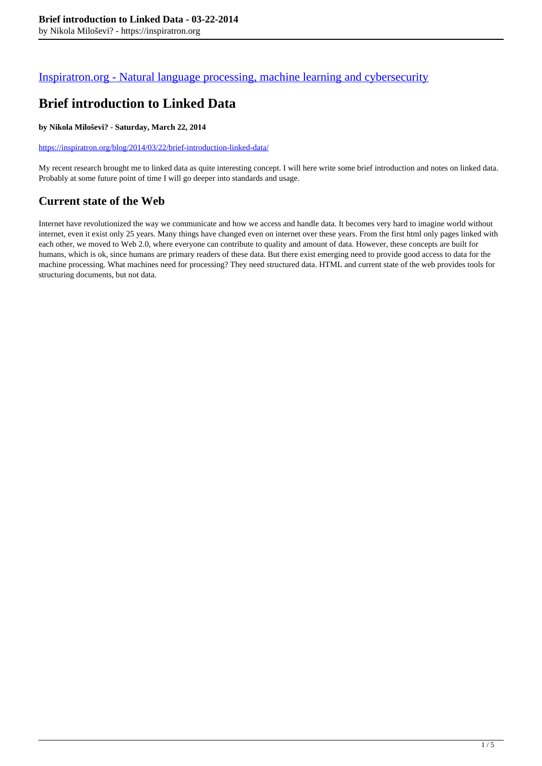### [Inspiratron.org - Natural language processing, machine learning and cybersecurity](https://inspiratron.org)

# **Brief introduction to Linked Data**

#### **by Nikola Miloševi? - Saturday, March 22, 2014**

https://inspiratron.org/blog/2014/03/22/brief-introduction-linked-data/

My recent research brought me to linked data as quite interesting concept. I will here write some brief introduction and notes on linked data. Probably at some future point of time I will go deeper into standards and usage.

# **Current state of the Web**

Internet have revolutionized the way we communicate and how we access and handle data. It becomes very hard to imagine world without internet, even it exist only 25 years. Many things have changed even on internet over these years. From the first html only pages linked with each other, we moved to Web 2.0, where everyone can contribute to quality and amount of data. However, these concepts are built for humans, which is ok, since humans are primary readers of these data. But there exist emerging need to provide good access to data for the machine processing. What machines need for processing? They need structured data. HTML and current state of the web provides tools for structuring documents, but not data.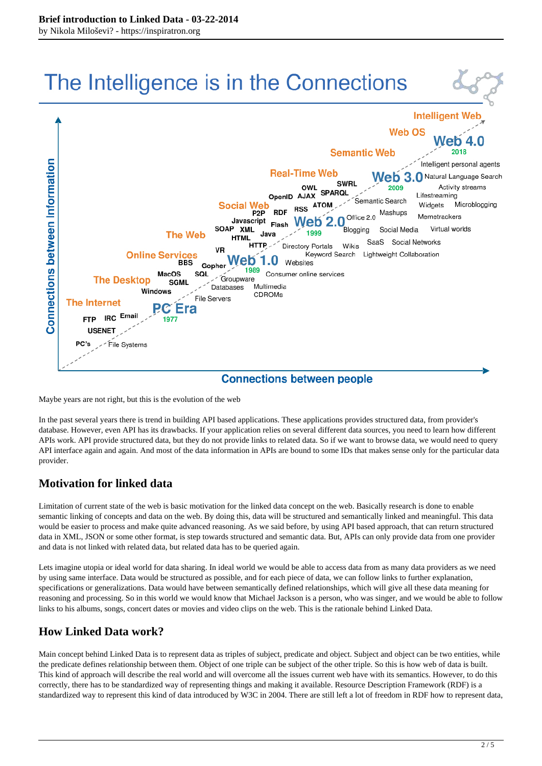

Maybe years are not right, but this is the evolution of the web

In the past several years there is trend in building API based applications. These applications provides structured data, from provider's database. However, even API has its drawbacks. If your application relies on several different data sources, you need to learn how different APIs work. API provide structured data, but they do not provide links to related data. So if we want to browse data, we would need to query API interface again and again. And most of the data information in APIs are bound to some IDs that makes sense only for the particular data provider.

### **Motivation for linked data**

Limitation of current state of the web is basic motivation for the linked data concept on the web. Basically research is done to enable semantic linking of concepts and data on the web. By doing this, data will be structured and semantically linked and meaningful. This data would be easier to process and make quite advanced reasoning. As we said before, by using API based approach, that can return structured data in XML, JSON or some other format, is step towards structured and semantic data. But, APIs can only provide data from one provider and data is not linked with related data, but related data has to be queried again.

Lets imagine utopia or ideal world for data sharing. In ideal world we would be able to access data from as many data providers as we need by using same interface. Data would be structured as possible, and for each piece of data, we can follow links to further explanation, specifications or generalizations. Data would have between semantically defined relationships, which will give all these data meaning for reasoning and processing. So in this world we would know that Michael Jackson is a person, who was singer, and we would be able to follow links to his albums, songs, concert dates or movies and video clips on the web. This is the rationale behind Linked Data.

## **How Linked Data work?**

Main concept behind Linked Data is to represent data as triples of subject, predicate and object. Subject and object can be two entities, while the predicate defines relationship between them. Object of one triple can be subject of the other triple. So this is how web of data is built. This kind of approach will describe the real world and will overcome all the issues current web have with its semantics. However, to do this correctly, there has to be standardized way of representing things and making it available. Resource Description Framework (RDF) is a standardized way to represent this kind of data introduced by W3C in 2004. There are still left a lot of freedom in RDF how to represent data,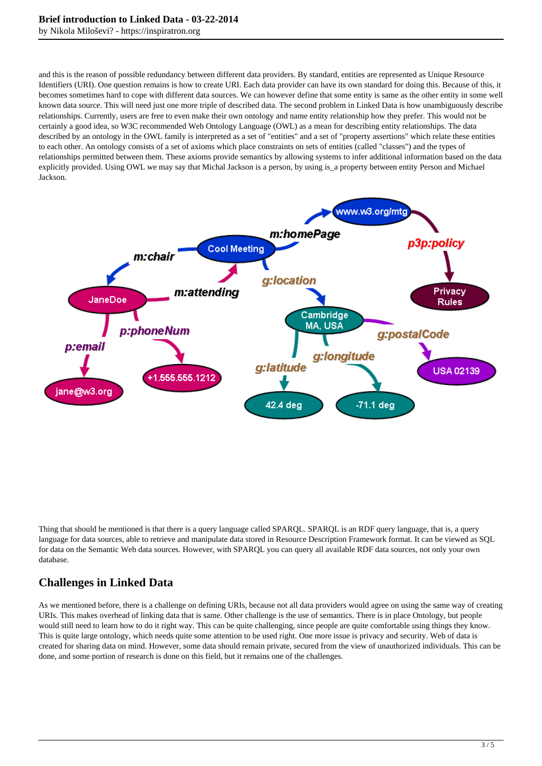by Nikola Miloševi? - https://inspiratron.org

and this is the reason of possible redundancy between different data providers. By standard, entities are represented as Unique Resource Identifiers (URI). One question remains is how to create URI. Each data provider can have its own standard for doing this. Because of this, it becomes sometimes hard to cope with different data sources. We can however define that some entity is same as the other entity in some well known data source. This will need just one more triple of described data. The second problem in Linked Data is how unambiguously describe relationships. Currently, users are free to even make their own ontology and name entity relationship how they prefer. This would not be certainly a good idea, so W3C recommended Web Ontology Language (OWL) as a mean for describing entity relationships. The data described by an ontology in the OWL family is interpreted as a set of "entities" and a set of "property assertions" which relate these entities to each other. An ontology consists of a set of axioms which place constraints on sets of entities (called "classes") and the types of relationships permitted between them. These axioms provide semantics by allowing systems to infer additional information based on the data explicitly provided. Using OWL we may say that Michal Jackson is a person, by using is\_a property between entity Person and Michael Jackson.



Thing that should be mentioned is that there is a query language called SPARQL. SPARQL is an RDF query language, that is, a query language for data sources, able to retrieve and manipulate data stored in Resource Description Framework format. It can be viewed as SQL for data on the Semantic Web data sources. However, with SPARQL you can query all available RDF data sources, not only your own database.

### **Challenges in Linked Data**

As we mentioned before, there is a challenge on defining URIs, because not all data providers would agree on using the same way of creating URIs. This makes overhead of linking data that is same. Other challenge is the use of semantics. There is in place Ontology, but people would still need to learn how to do it right way. This can be quite challenging, since people are quite comfortable using things they know. This is quite large ontology, which needs quite some attention to be used right. One more issue is privacy and security. Web of data is created for sharing data on mind. However, some data should remain private, secured from the view of unauthorized individuals. This can be done, and some portion of research is done on this field, but it remains one of the challenges.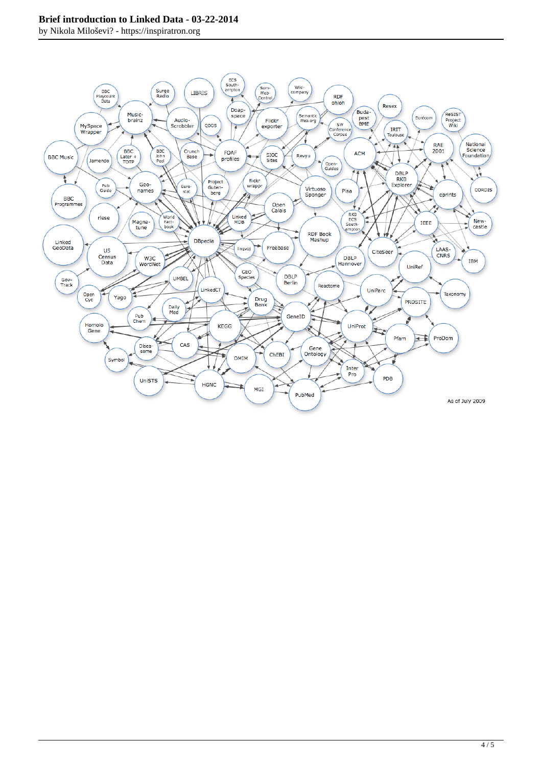#### **Brief introduction to Linked Data - 03-22-2014**

by Nikola Miloševi? - https://inspiratron.org